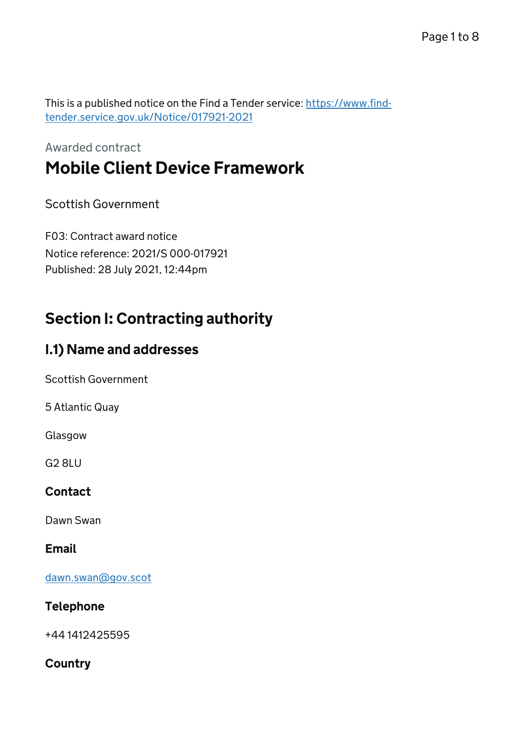This is a published notice on the Find a Tender service: [https://www.find](https://www.find-tender.service.gov.uk/Notice/017921-2021)[tender.service.gov.uk/Notice/017921-2021](https://www.find-tender.service.gov.uk/Notice/017921-2021)

# Awarded contract Mobile Client Device Framework

#### Scottish Government

F03: Contract award notice Notice reference: 2021/S 000-017921 Published: 28 July 2021, 12:44pm

## Section I: Contracting authority

### I.1) Name and addresses

Scottish Government

5 Atlantic Quay

Glasgow

 $G2$  8LU

#### **Contact**

Dawn Swan

#### Email

[dawn.swan@gov.scot](mailto:dawn.swan@gov.scot)

#### Telephone

+44 1412425595

#### **Country**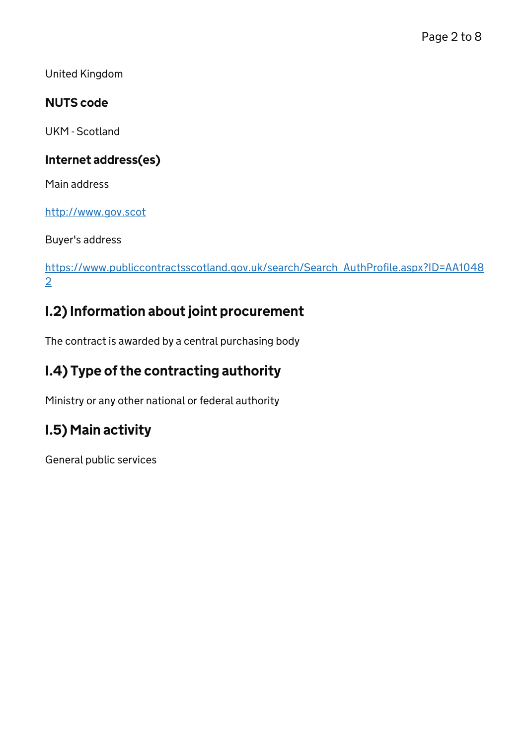United Kingdom

#### NUTS code

UKM - Scotland

#### Internet address(es)

Main address

<http://www.gov.scot>

Buyer's address

[https://www.publiccontractsscotland.gov.uk/search/Search\\_AuthProfile.aspx?ID=AA1048](https://www.publiccontractsscotland.gov.uk/search/Search_AuthProfile.aspx?ID=AA10482) [2](https://www.publiccontractsscotland.gov.uk/search/Search_AuthProfile.aspx?ID=AA10482)

## I.2) Information about joint procurement

The contract is awarded by a central purchasing body

## I.4) Type of the contracting authority

Ministry or any other national or federal authority

# I.5) Main activity

General public services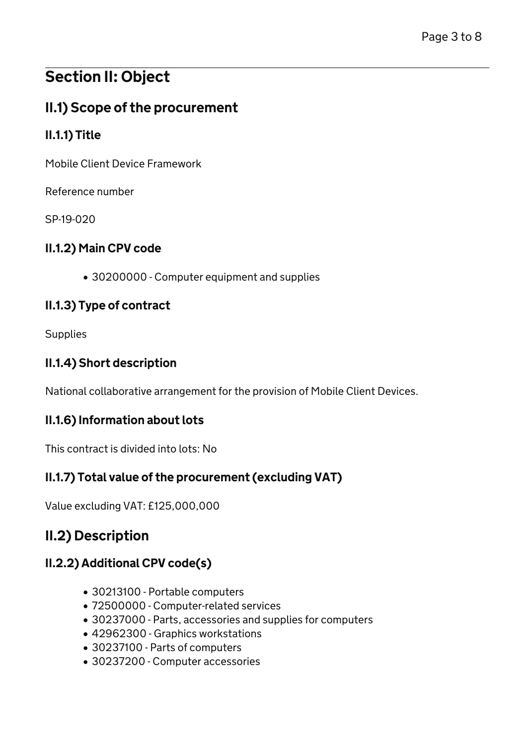# Section II: Object

## II.1) Scope of the procurement

### II.1.1) Title

Mobile Client Device Framework

Reference number

SP-19-020

### II.1.2) Main CPV code

30200000 - Computer equipment and supplies

#### II.1.3) Type of contract

Supplies

#### II.1.4) Short description

National collaborative arrangement for the provision of Mobile Client Devices.

#### II.1.6) Information about lots

This contract is divided into lots: No

### II.1.7) Total value of the procurement (excluding VAT)

Value excluding VAT: £125,000,000

## II.2) Description

### II.2.2) Additional CPV code(s)

- 30213100 Portable computers
- 72500000 Computer-related services
- 30237000 Parts, accessories and supplies for computers
- 42962300 Graphics workstations
- 30237100 Parts of computers
- 30237200 Computer accessories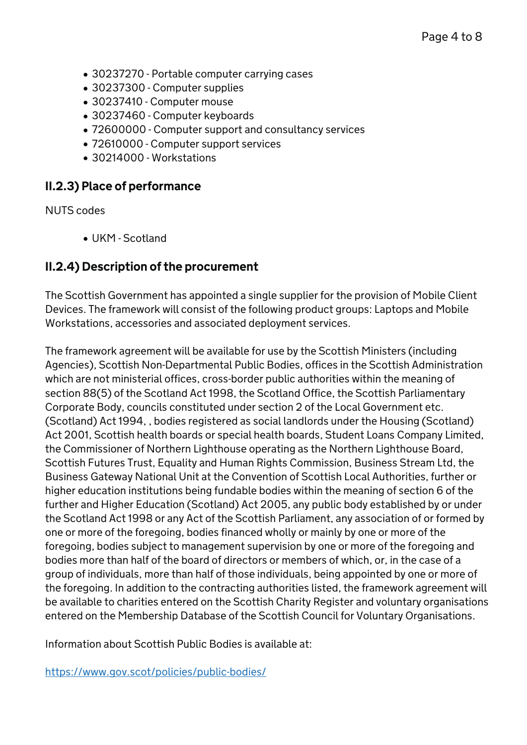- 30237270 Portable computer carrying cases
- 30237300 Computer supplies
- 30237410 Computer mouse
- 30237460 Computer keyboards
- 72600000 Computer support and consultancy services
- 72610000 Computer support services
- 30214000 Workstations

#### II.2.3) Place of performance

NUTS codes

UKM - Scotland

#### II.2.4) Description of the procurement

The Scottish Government has appointed a single supplier for the provision of Mobile Client Devices. The framework will consist of the following product groups: Laptops and Mobile Workstations, accessories and associated deployment services.

The framework agreement will be available for use by the Scottish Ministers (including Agencies), Scottish Non-Departmental Public Bodies, offices in the Scottish Administration which are not ministerial offices, cross-border public authorities within the meaning of section 88(5) of the Scotland Act 1998, the Scotland Office, the Scottish Parliamentary Corporate Body, councils constituted under section 2 of the Local Government etc. (Scotland) Act 1994, , bodies registered as social landlords under the Housing (Scotland) Act 2001, Scottish health boards or special health boards, Student Loans Company Limited, the Commissioner of Northern Lighthouse operating as the Northern Lighthouse Board, Scottish Futures Trust, Equality and Human Rights Commission, Business Stream Ltd, the Business Gateway National Unit at the Convention of Scottish Local Authorities, further or higher education institutions being fundable bodies within the meaning of section 6 of the further and Higher Education (Scotland) Act 2005, any public body established by or under the Scotland Act 1998 or any Act of the Scottish Parliament, any association of or formed by one or more of the foregoing, bodies financed wholly or mainly by one or more of the foregoing, bodies subject to management supervision by one or more of the foregoing and bodies more than half of the board of directors or members of which, or, in the case of a group of individuals, more than half of those individuals, being appointed by one or more of the foregoing. In addition to the contracting authorities listed, the framework agreement will be available to charities entered on the Scottish Charity Register and voluntary organisations entered on the Membership Database of the Scottish Council for Voluntary Organisations.

Information about Scottish Public Bodies is available at:

<https://www.gov.scot/policies/public-bodies/>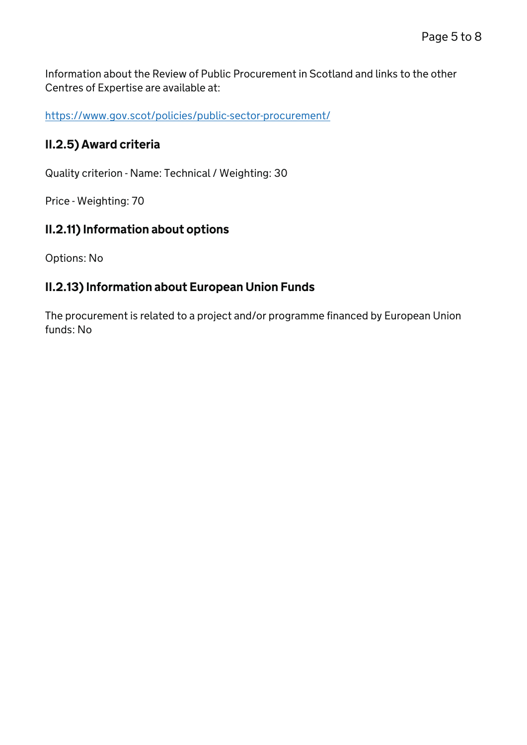Information about the Review of Public Procurement in Scotland and links to the other Centres of Expertise are available at:

<https://www.gov.scot/policies/public-sector-procurement/>

#### II.2.5) Award criteria

Quality criterion - Name: Technical / Weighting: 30

Price - Weighting: 70

#### II.2.11) Information about options

Options: No

#### II.2.13) Information about European Union Funds

The procurement is related to a project and/or programme financed by European Union funds: No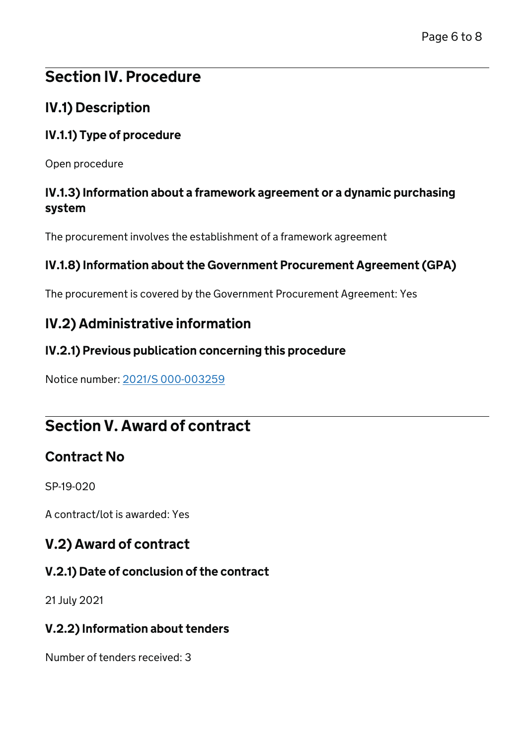# Section IV. Procedure

## IV.1) Description

#### IV.1.1) Type of procedure

Open procedure

#### IV.1.3) Information about a framework agreement or a dynamic purchasing system

The procurement involves the establishment of a framework agreement

#### IV.1.8) Information about the Government Procurement Agreement (GPA)

The procurement is covered by the Government Procurement Agreement: Yes

### IV.2) Administrative information

#### IV.2.1) Previous publication concerning this procedure

Notice number: [2021/S 000-003259](/Notice/003259-2021)

# Section V. Award of contract

## Contract No

SP-19-020

A contract/lot is awarded: Yes

## V.2) Award of contract

### V.2.1) Date of conclusion of the contract

21 July 2021

#### V.2.2) Information about tenders

Number of tenders received: 3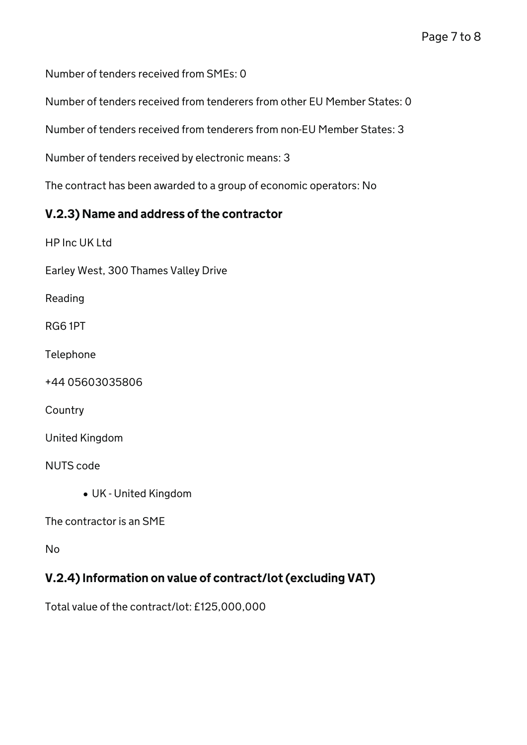Number of tenders received from SMEs: 0

Number of tenders received from tenderers from other EU Member States: 0

Number of tenders received from tenderers from non-EU Member States: 3

Number of tenders received by electronic means: 3

The contract has been awarded to a group of economic operators: No

#### V.2.3) Name and address of the contractor

HP Inc UK Ltd

Earley West, 300 Thames Valley Drive

Reading

RG6 1PT

Telephone

+44 05603035806

**Country** 

United Kingdom

NUTS code

UK - United Kingdom

The contractor is an SME

No

#### V.2.4) Information on value of contract/lot (excluding VAT)

Total value of the contract/lot: £125,000,000